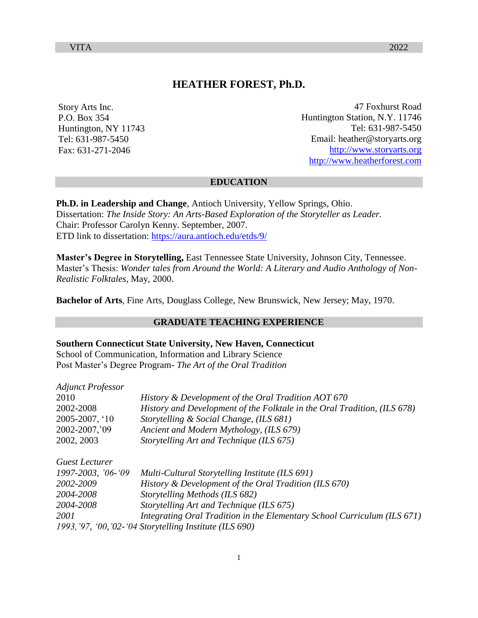# **HEATHER FOREST, Ph.D.**

Story Arts Inc. P.O. Box 354 Huntington, NY 11743 Tel: 631-987-5450 Fax: 631-271-2046

47 Foxhurst Road Huntington Station, N.Y. 11746 Tel: 631-987-5450 Email: [heather@storyarts.org](mailto:heather@storyarts.org) [http://www.storyarts.org](http://www.storyarts.org/) [http://www.heatherforest.com](http://www.heatherforest.com/)

#### **EDUCATION**

**Ph.D. in Leadership and Change**, Antioch University, Yellow Springs, Ohio. Dissertation: *The Inside Story: An Arts-Based Exploration of the Storyteller as Leader.*  Chair: Professor Carolyn Kenny. September, 2007. ETD link to dissertation:<https://aura.antioch.edu/etds/9/>

**Master's Degree in Storytelling,** East Tennessee State University, Johnson City, Tennessee. Master's Thesis: *Wonder tales from Around the World: A Literary and Audio Anthology of Non-Realistic Folktales*, May, 2000.

**Bachelor of Arts**, Fine Arts, Douglass College, New Brunswick, New Jersey; May, 1970.

## **GRADUATE TEACHING EXPERIENCE**

#### **Southern Connecticut State University, New Haven, Connecticut**

School of Communication, Information and Library Science Post Master's Degree Program- *The Art of the Oral Tradition*

| <b>Adjunct Professor</b> |                                                                          |
|--------------------------|--------------------------------------------------------------------------|
| 2010                     | History & Development of the Oral Tradition AOT 670                      |
| 2002-2008                | History and Development of the Folktale in the Oral Tradition, (ILS 678) |
| 2005-2007, '10           | Storytelling & Social Change, (ILS 681)                                  |
| 2002-2007, '09           | Ancient and Modern Mythology, (ILS 679)                                  |
| 2002, 2003               | Storytelling Art and Technique (ILS 675)                                 |
| Guest Lecturer           |                                                                          |
| 1997-2003, '06-'09       | Multi-Cultural Storytelling Institute (ILS 691)                          |
| 2002-2009                | History & Development of the Oral Tradition (ILS 670)                    |
| 2004-2008                | Storytelling Methods (ILS 682)                                           |
| 2004-2008                | Storytelling Art and Technique (ILS 675)                                 |
| 2001                     | Integrating Oral Tradition in the Elementary School Curriculum (ILS 671) |
|                          | 1993, '97, '00, '02-'04 Storytelling Institute (ILS 690)                 |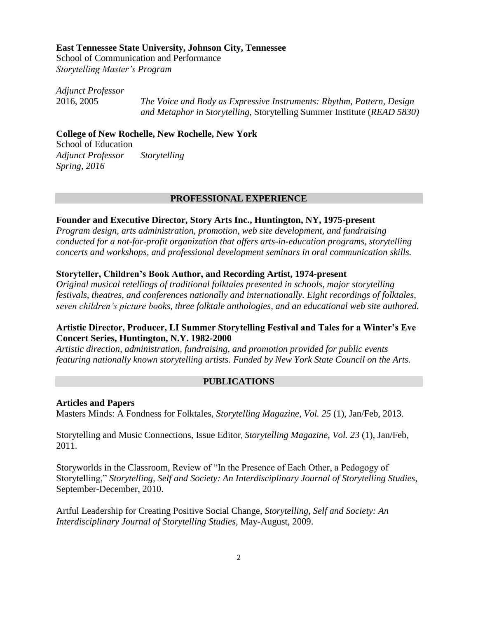## **East Tennessee State University, Johnson City, Tennessee**

School of Communication and Performance *Storytelling Master's Program* 

*Adjunct Professor*

2016, 2005 *The Voice and Body as Expressive Instruments: Rhythm, Pattern, Design and Metaphor in Storytelling,* Storytelling Summer Institute (*READ 5830)*

## **College of New Rochelle, New Rochelle, New York**

School of Education *Adjunct Professor Storytelling Spring, 2016*

#### **PROFESSIONAL EXPERIENCE**

## **Founder and Executive Director, Story Arts Inc., Huntington, NY, 1975-present**

*Program design, arts administration, promotion, web site development, and fundraising conducted for a not-for-profit organization that offers arts-in-education programs, storytelling concerts and workshops, and professional development seminars in oral communication skills.*

#### **Storyteller, Children's Book Author, and Recording Artist, 1974-present**

*Original musical retellings of traditional folktales presented in schools, major storytelling festivals, theatres, and conferences nationally and internationally. Eight recordings of folktales, seven children's picture books, three folktale anthologies, and an educational web site authored.*

## **Artistic Director, Producer, LI Summer Storytelling Festival and Tales for a Winter's Eve Concert Series, Huntington, N.Y. 1982-2000**

*Artistic direction, administration, fundraising, and promotion provided for public events featuring nationally known storytelling artists. Funded by New York State Council on the Arts.*

#### **PUBLICATIONS**

### **Articles and Papers**

Masters Minds: A Fondness for Folktales, *Storytelling Magazine*, *Vol. 25* (1), Jan/Feb, 2013.

Storytelling and Music Connections, Issue Editor, *Storytelling Magazine*, *Vol. 23* (1), Jan/Feb, 2011.

Storyworlds in the Classroom, Review of "In the Presence of Each Other, a Pedogogy of Storytelling," *Storytelling, Self and Society: An Interdisciplinary Journal of Storytelling Studies,*  September-December, 2010.

Artful Leadership for Creating Positive Social Change*, Storytelling, Self and Society: An Interdisciplinary Journal of Storytelling Studies,* May-August, 2009.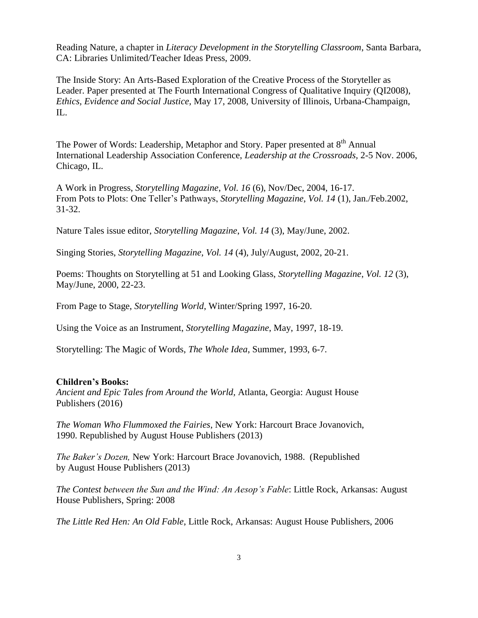Reading Nature, a chapter in *Literacy Development in the Storytelling Classroom*, Santa Barbara, CA: Libraries Unlimited/Teacher Ideas Press, 2009.

The Inside Story: An Arts-Based Exploration of the Creative Process of the Storyteller as Leader. Paper presented at The Fourth International Congress of Qualitative Inquiry (QI2008), *Ethics, Evidence and Social Justice,* May 17, 2008, University of Illinois, Urbana-Champaign, IL.

The Power of Words: Leadership, Metaphor and Story. Paper presented at  $8<sup>th</sup>$  Annual International Leadership Association Conference, *Leadership at the Crossroads,* 2-5 Nov. 2006, Chicago, IL.

A Work in Progress, *Storytelling Magazine*, *Vol. 16* (6), Nov/Dec, 2004, 16-17. From Pots to Plots: One Teller's Pathways, *Storytelling Magazine*, *Vol. 14* (1), Jan./Feb.2002, 31-32.

Nature Tales issue editor, *Storytelling Magazine*, *Vol. 14* (3), May/June, 2002.

Singing Stories, *Storytelling Magazine*, *Vol. 14* (4), July/August, 2002, 20-21.

Poems: Thoughts on Storytelling at 51 and Looking Glass, *Storytelling Magazine*, *Vol. 12* (3), May/June, 2000, 22-23.

From Page to Stage, *Storytelling World*, Winter/Spring 1997, 16-20.

Using the Voice as an Instrument, *Storytelling Magazine*, May, 1997, 18-19.

Storytelling: The Magic of Words, *The Whole Idea*, Summer, 1993, 6-7.

## **Children's Books:**

*Ancient and Epic Tales from Around the World,* Atlanta, Georgia: August House Publishers (2016)

*The Woman Who Flummoxed the Fairies*, New York: Harcourt Brace Jovanovich, 1990. Republished by August House Publishers (2013)

*The Baker's Dozen,* New York: Harcourt Brace Jovanovich, 1988. (Republished by August House Publishers (2013)

*The Contest between the Sun and the Wind: An Aesop's Fable*: Little Rock, Arkansas: August House Publishers, Spring: 2008

*The Little Red Hen: An Old Fable*, Little Rock, Arkansas: August House Publishers, 2006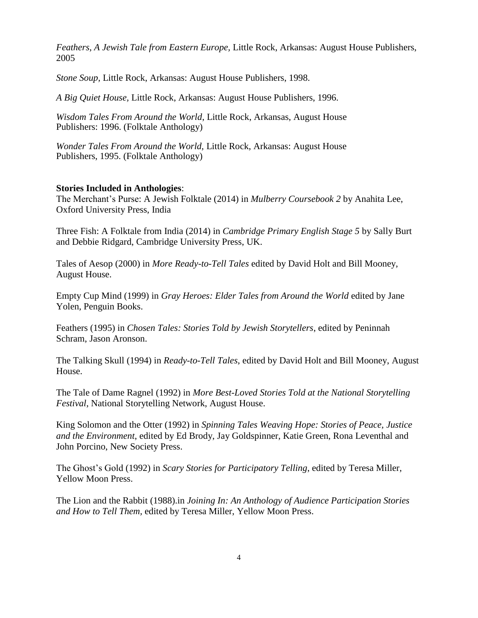*Feathers, A Jewish Tale from Eastern Europe,* Little Rock, Arkansas: August House Publishers, 2005

*Stone Soup,* Little Rock, Arkansas: August House Publishers, 1998.

*A Big Quiet House,* Little Rock, Arkansas: August House Publishers, 1996.

*Wisdom Tales From Around the World*, Little Rock, Arkansas, August House Publishers: 1996. (Folktale Anthology)

*Wonder Tales From Around the World,* Little Rock, Arkansas: August House Publishers, 1995. (Folktale Anthology)

## **Stories Included in Anthologies**:

The Merchant's Purse: A Jewish Folktale (2014) in *Mulberry Coursebook 2* by Anahita Lee, Oxford University Press, India

Three Fish: A Folktale from India (2014) in *Cambridge Primary English Stage 5* by Sally Burt and Debbie Ridgard, Cambridge University Press, UK.

Tales of Aesop (2000) in *More Ready-to-Tell Tales* edited by David Holt and Bill Mooney, August House.

Empty Cup Mind (1999) in *Gray Heroes: Elder Tales from Around the World* edited by Jane Yolen*,* Penguin Books.

Feathers (1995) in *Chosen Tales: Stories Told by Jewish Storytellers*, edited by Peninnah Schram, Jason Aronson.

The Talking Skull (1994) in *Ready-to-Tell Tales*, edited by David Holt and Bill Mooney, August House.

The Tale of Dame Ragnel (1992) in *More Best-Loved Stories Told at the National Storytelling Festival*, National Storytelling Network, August House.

King Solomon and the Otter (1992) in *Spinning Tales Weaving Hope: Stories of Peace, Justice and the Environment*, edited by Ed Brody, Jay Goldspinner, Katie Green, Rona Leventhal and John Porcino, New Society Press.

The Ghost's Gold (1992) in *Scary Stories for Participatory Telling*, edited by Teresa Miller, Yellow Moon Press.

The Lion and the Rabbit (1988).in *Joining In: An Anthology of Audience Participation Stories and How to Tell Them,* edited by Teresa Miller, Yellow Moon Press.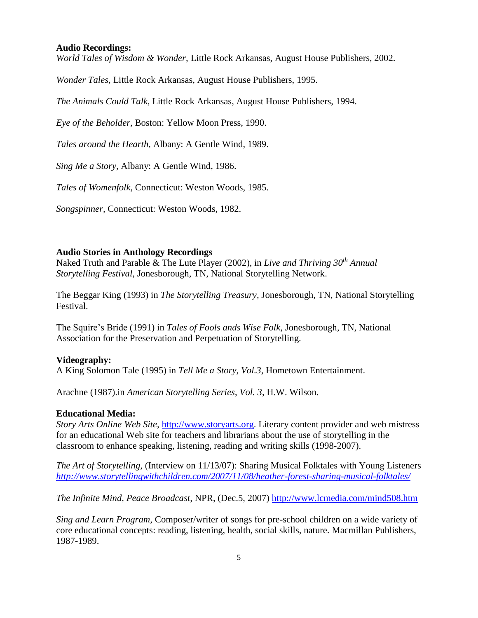### **Audio Recordings:**

*World Tales of Wisdom & Wonder,* Little Rock Arkansas, August House Publishers, 2002.

*Wonder Tales,* Little Rock Arkansas, August House Publishers, 1995.

*The Animals Could Talk,* Little Rock Arkansas, August House Publishers, 1994.

*Eye of the Beholder,* Boston: Yellow Moon Press, 1990.

*Tales around the Hearth,* Albany: A Gentle Wind, 1989.

*Sing Me a Story,* Albany: A Gentle Wind, 1986.

*Tales of Womenfolk,* Connecticut: Weston Woods, 1985.

*Songspinner,* Connecticut: Weston Woods, 1982.

## **Audio Stories in Anthology Recordings**

Naked Truth and Parable & The Lute Player (2002), in *Live and Thriving 30th Annual Storytelling Festival*, Jonesborough, TN, National Storytelling Network.

The Beggar King (1993) in *The Storytelling Treasury,* Jonesborough, TN*,* National Storytelling Festival.

The Squire's Bride (1991) in *Tales of Fools ands Wise Folk*, Jonesborough, TN, National Association for the Preservation and Perpetuation of Storytelling.

## **Videography:**

A King Solomon Tale (1995) in *Tell Me a Story, Vol.3*, Hometown Entertainment.

Arachne (1987).in *American Storytelling Series*, *Vol. 3*, H.W. Wilson.

## **Educational Media:**

*Story Arts Online Web Site,* [http://www.storyarts.org.](http://www.storyarts.org/) Literary content provider and web mistress for an educational Web site for teachers and librarians about the use of storytelling in the classroom to enhance speaking, listening, reading and writing skills (1998-2007).

*The Art of Storytelling,* (Interview on 11/13/07): Sharing Musical Folktales with Young Listeners *<http://www.storytellingwithchildren.com/2007/11/08/heather-forest-sharing-musical-folktales/>*

*The Infinite Mind, Peace Broadcast,* NPR, (Dec.5, 2007)<http://www.lcmedia.com/mind508.htm>

*Sing and Learn Program*, Composer/writer of songs for pre-school children on a wide variety of core educational concepts: reading, listening, health, social skills, nature. Macmillan Publishers, 1987-1989.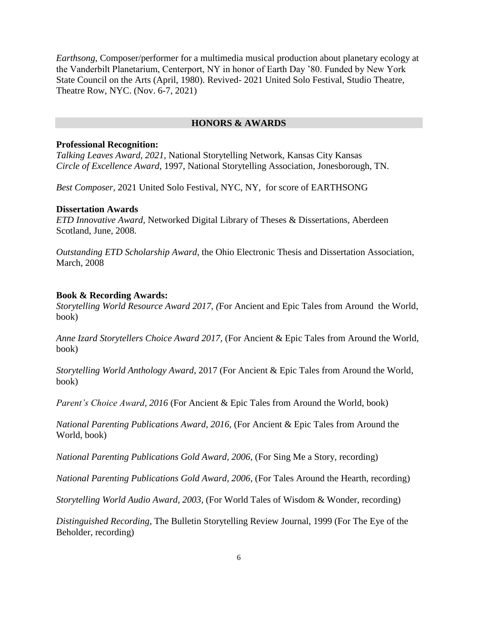*Earthsong*, Composer/performer for a multimedia musical production about planetary ecology at the Vanderbilt Planetarium, Centerport, NY in honor of Earth Day '80. Funded by New York State Council on the Arts (April, 1980). Revived- 2021 United Solo Festival, Studio Theatre, Theatre Row, NYC. (Nov. 6-7, 2021)

#### **HONORS & AWARDS**

#### **Professional Recognition:**

*Talking Leaves Award, 2021,* National Storytelling Network, Kansas City Kansas *Circle of Excellence Award*, 1997, National Storytelling Association, Jonesborough, TN.

*Best Composer,* 2021 United Solo Festival, NYC, NY, for score of EARTHSONG

#### **Dissertation Awards**

*ETD Innovative Award,* Networked Digital Library of Theses & Dissertations, Aberdeen Scotland, June, 2008.

*Outstanding ETD Scholarship Award,* the Ohio Electronic Thesis and Dissertation Association, March, 2008

#### **Book & Recording Awards:**

*Storytelling World Resource Award 2017, (*For Ancient and Epic Tales from Around the World, book)

*Anne Izard Storytellers Choice Award 2017,* (For Ancient & Epic Tales from Around the World, book)

*Storytelling World Anthology Award*, 2017 (For Ancient & Epic Tales from Around the World, book)

*Parent's Choice Award, 2016* (For Ancient & Epic Tales from Around the World, book)

*National Parenting Publications Award, 2016*, (For Ancient & Epic Tales from Around the World, book)

*National Parenting Publications Gold Award, 2006*, (For Sing Me a Story, recording)

*National Parenting Publications Gold Award, 2006*, (For Tales Around the Hearth, recording)

*Storytelling World Audio Award, 2003*, (For World Tales of Wisdom & Wonder, recording)

*Distinguished Recording*, The Bulletin Storytelling Review Journal, 1999 (For The Eye of the Beholder, recording)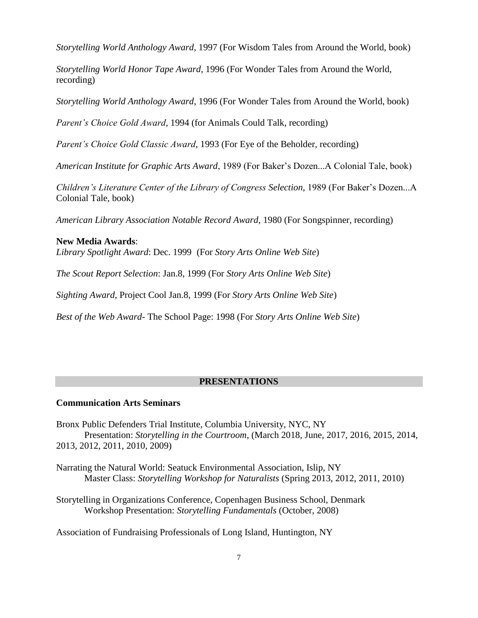*Storytelling World Anthology Award*, 1997 (For Wisdom Tales from Around the World, book)

*Storytelling World Honor Tape Award*, 1996 (For Wonder Tales from Around the World, recording)

*Storytelling World Anthology Award*, 1996 (For Wonder Tales from Around the World, book)

*Parent's Choice Gold Award*, 1994 (for Animals Could Talk, recording)

*Parent's Choice Gold Classic Award*, 1993 (For Eye of the Beholder, recording)

*American Institute for Graphic Arts Award*, 1989 (For Baker's Dozen...A Colonial Tale, book)

*Children's Literature Center of the Library of Congress Selection*, 1989 (For Baker's Dozen...A Colonial Tale, book)

*American Library Association Notable Record Award*, 1980 (For Songspinner, recording)

#### **New Media Awards**:

*Library Spotlight Award*: Dec. 1999 (For *Story Arts Online Web Site*)

*The Scout Report Selection*: Jan.8, 1999 (For *Story Arts Online Web Site*)

*Sighting Award*, Project Cool Jan.8, 1999 (For *Story Arts Online Web Site*)

*Best of the Web Award*- The School Page: 1998 (For *Story Arts Online Web Site*)

#### **PRESENTATIONS**

### **Communication Arts Seminars**

Bronx Public Defenders Trial Institute, Columbia University, NYC, NY Presentation: *Storytelling in the Courtroom*, (March 2018, June, 2017, 2016, 2015, 2014, 2013, 2012, 2011, 2010, 2009)

Narrating the Natural World: Seatuck Environmental Association, Islip, NY Master Class: *Storytelling Workshop for Naturalists* (Spring 2013, 2012, 2011, 2010)

Storytelling in Organizations Conference, Copenhagen Business School, Denmark Workshop Presentation: *Storytelling Fundamentals* (October, 2008)

Association of Fundraising Professionals of Long Island, Huntington, NY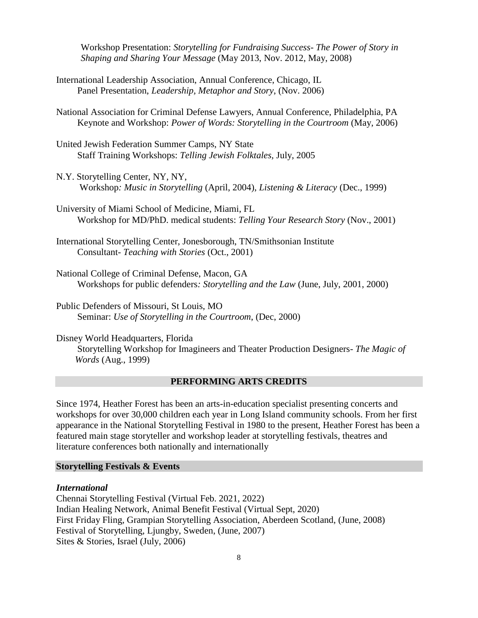Workshop Presentation: *Storytelling for Fundraising Success- The Power of Story in Shaping and Sharing Your Message* (May 2013, Nov. 2012, May, 2008)

- International Leadership Association, Annual Conference, Chicago, IL Panel Presentation, *Leadership, Metaphor and Story*, (Nov. 2006)
- National Association for Criminal Defense Lawyers, Annual Conference, Philadelphia, PA Keynote and Workshop: *Power of Words: Storytelling in the Courtroom* (May, 2006)
- United Jewish Federation Summer Camps, NY State Staff Training Workshops: *Telling Jewish Folktales,* July, 2005
- N.Y. Storytelling Center, NY, NY, Workshop*: Music in Storytelling* (April, 2004), *Listening & Literacy* (Dec., 1999)
- University of Miami School of Medicine, Miami, FL Workshop for MD/PhD. medical students: *Telling Your Research Story* (Nov., 2001)
- International Storytelling Center, Jonesborough, TN/Smithsonian Institute Consultant- *Teaching with Stories* (Oct., 2001)
- National College of Criminal Defense, Macon, GA Workshops for public defenders*: Storytelling and the Law* (June, July, 2001, 2000)
- Public Defenders of Missouri, St Louis, MO Seminar: *Use of Storytelling in the Courtroom*, (Dec, 2000)

Disney World Headquarters, Florida Storytelling Workshop for Imagineers and Theater Production Designers- *The Magic of Words* (Aug., 1999)

## **PERFORMING ARTS CREDITS**

Since 1974, Heather Forest has been an arts-in-education specialist presenting concerts and workshops for over 30,000 children each year in Long Island community schools. From her first appearance in the National Storytelling Festival in 1980 to the present, Heather Forest has been a featured main stage storyteller and workshop leader at storytelling festivals, theatres and literature conferences both nationally and internationally

#### **Storytelling Festivals & Events**

#### *International*

Chennai Storytelling Festival (Virtual Feb. 2021, 2022) Indian Healing Network, Animal Benefit Festival (Virtual Sept, 2020) First Friday Fling, Grampian Storytelling Association, Aberdeen Scotland, (June, 2008) Festival of Storytelling, Ljungby, Sweden, (June, 2007) Sites & Stories, Israel (July, 2006)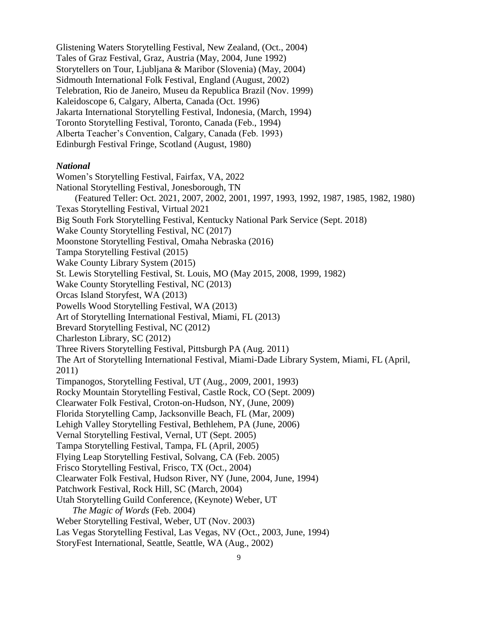Glistening Waters Storytelling Festival, New Zealand, (Oct., 2004) Tales of Graz Festival, Graz, Austria (May, 2004, June 1992) Storytellers on Tour, Ljubljana & Maribor (Slovenia) (May, 2004) Sidmouth International Folk Festival, England (August, 2002) Telebration, Rio de Janeiro, Museu da Republica Brazil (Nov. 1999) Kaleidoscope 6, Calgary, Alberta, Canada (Oct. 1996) Jakarta International Storytelling Festival, Indonesia, (March, 1994) Toronto Storytelling Festival, Toronto, Canada (Feb., 1994) Alberta Teacher's Convention, Calgary, Canada (Feb. 1993) Edinburgh Festival Fringe, Scotland (August, 1980)

#### *National*

Women's Storytelling Festival, Fairfax, VA, 2022 National Storytelling Festival, Jonesborough, TN (Featured Teller: Oct. 2021, 2007, 2002, 2001, 1997, 1993, 1992, 1987, 1985, 1982, 1980) Texas Storytelling Festival, Virtual 2021 Big South Fork Storytelling Festival, Kentucky National Park Service (Sept. 2018) Wake County Storytelling Festival, NC (2017) Moonstone Storytelling Festival, Omaha Nebraska (2016) Tampa Storytelling Festival (2015) Wake County Library System (2015) St. Lewis Storytelling Festival, St. Louis, MO (May 2015, 2008, 1999, 1982) Wake County Storytelling Festival, NC (2013) Orcas Island Storyfest, WA (2013) Powells Wood Storytelling Festival, WA (2013) Art of Storytelling International Festival, Miami, FL (2013) Brevard Storytelling Festival, NC (2012) Charleston Library, SC (2012) Three Rivers Storytelling Festival, Pittsburgh PA (Aug. 2011) The Art of Storytelling International Festival, Miami-Dade Library System, Miami, FL (April, 2011) Timpanogos, Storytelling Festival, UT (Aug., 2009, 2001, 1993) Rocky Mountain Storytelling Festival, Castle Rock, CO (Sept. 2009) Clearwater Folk Festival, Croton-on-Hudson, NY, (June, 2009) Florida Storytelling Camp, Jacksonville Beach, FL (Mar, 2009) Lehigh Valley Storytelling Festival, Bethlehem, PA (June, 2006) Vernal Storytelling Festival, Vernal, UT (Sept. 2005) Tampa Storytelling Festival, Tampa, FL (April, 2005) Flying Leap Storytelling Festival, Solvang, CA (Feb. 2005) Frisco Storytelling Festival, Frisco, TX (Oct., 2004) Clearwater Folk Festival, Hudson River, NY (June, 2004, June, 1994) Patchwork Festival, Rock Hill, SC (March, 2004) Utah Storytelling Guild Conference, (Keynote) Weber, UT  *The Magic of Words* (Feb. 2004) Weber Storytelling Festival, Weber, UT (Nov. 2003) Las Vegas Storytelling Festival, Las Vegas, NV (Oct., 2003, June, 1994) StoryFest International, Seattle, Seattle, WA (Aug., 2002)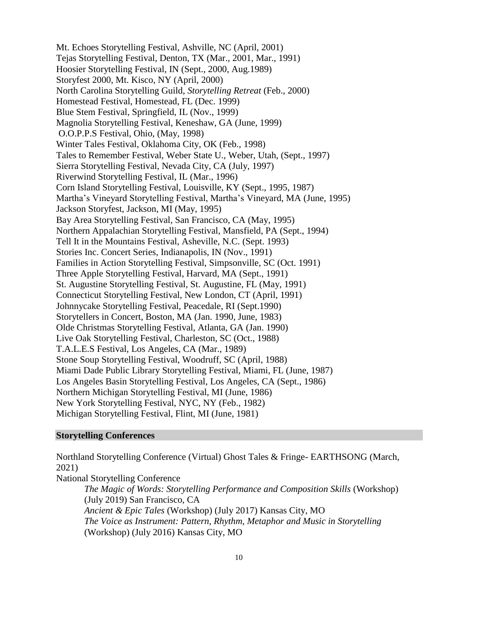Mt. Echoes Storytelling Festival, Ashville, NC (April, 2001) Tejas Storytelling Festival, Denton, TX (Mar., 2001, Mar., 1991) Hoosier Storytelling Festival, IN (Sept., 2000, Aug.1989) Storyfest 2000, Mt. Kisco, NY (April, 2000) North Carolina Storytelling Guild, *Storytelling Retreat* (Feb., 2000) Homestead Festival, Homestead, FL (Dec. 1999) Blue Stem Festival, Springfield, IL (Nov., 1999) Magnolia Storytelling Festival, Keneshaw, GA (June, 1999) O.O.P.P.S Festival, Ohio, (May, 1998) Winter Tales Festival, Oklahoma City, OK (Feb., 1998) Tales to Remember Festival, Weber State U., Weber, Utah, (Sept., 1997) Sierra Storytelling Festival, Nevada City, CA (July, 1997) Riverwind Storytelling Festival, IL (Mar., 1996) Corn Island Storytelling Festival, Louisville, KY (Sept., 1995, 1987) Martha's Vineyard Storytelling Festival, Martha's Vineyard, MA (June, 1995) Jackson Storyfest, Jackson, MI (May, 1995) Bay Area Storytelling Festival, San Francisco, CA (May, 1995) Northern Appalachian Storytelling Festival, Mansfield, PA (Sept., 1994) Tell It in the Mountains Festival, Asheville, N.C. (Sept. 1993) Stories Inc. Concert Series, Indianapolis, IN (Nov., 1991) Families in Action Storytelling Festival, Simpsonville, SC (Oct. 1991) Three Apple Storytelling Festival, Harvard, MA (Sept., 1991) St. Augustine Storytelling Festival, St. Augustine, FL (May, 1991) Connecticut Storytelling Festival, New London, CT (April, 1991) Johnnycake Storytelling Festival, Peacedale, RI (Sept.1990) Storytellers in Concert, Boston, MA (Jan. 1990, June, 1983) Olde Christmas Storytelling Festival, Atlanta, GA (Jan. 1990) Live Oak Storytelling Festival, Charleston, SC (Oct., 1988) T.A.L.E.S Festival, Los Angeles, CA (Mar., 1989) Stone Soup Storytelling Festival, Woodruff, SC (April, 1988) Miami Dade Public Library Storytelling Festival, Miami, FL (June, 1987) Los Angeles Basin Storytelling Festival, Los Angeles, CA (Sept., 1986) Northern Michigan Storytelling Festival, MI (June, 1986) New York Storytelling Festival, NYC, NY (Feb., 1982) Michigan Storytelling Festival, Flint, MI (June, 1981)

## **Storytelling Conferences**

Northland Storytelling Conference (Virtual) Ghost Tales & Fringe- EARTHSONG (March, 2021)

National Storytelling Conference

*The Magic of Words: Storytelling Performance and Composition Skills* (Workshop) (July 2019) San Francisco, CA *Ancient & Epic Tales* (Workshop) (July 2017) Kansas City, MO *The Voice as Instrument: Pattern, Rhythm, Metaphor and Music in Storytelling* (Workshop) (July 2016) Kansas City, MO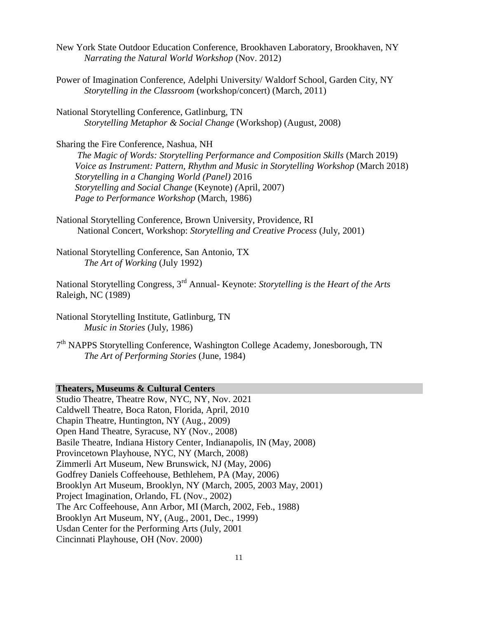- New York State Outdoor Education Conference, Brookhaven Laboratory, Brookhaven, NY *Narrating the Natural World Workshop* (Nov. 2012)
- Power of Imagination Conference, Adelphi University/ Waldorf School, Garden City, NY *Storytelling in the Classroom* (workshop/concert) (March, 2011)
- National Storytelling Conference, Gatlinburg, TN *Storytelling Metaphor & Social Change* (Workshop) (August, 2008)

Sharing the Fire Conference, Nashua, NH *The Magic of Words: Storytelling Performance and Composition Skills* (March 2019) *Voice as Instrument: Pattern, Rhythm and Music in Storytelling Workshop* (March 2018)  *Storytelling in a Changing World (Panel)* 2016  *Storytelling and Social Change* (Keynote) *(*April, 2007) *Page to Performance Workshop* (March, 1986)

National Storytelling Conference, Brown University, Providence, RI National Concert, Workshop: *Storytelling and Creative Process* (July, 2001)

National Storytelling Conference, San Antonio, TX *The Art of Working* (July 1992)

National Storytelling Congress, 3rd Annual- Keynote: *Storytelling is the Heart of the Arts* Raleigh, NC (1989)

National Storytelling Institute, Gatlinburg, TN *Music in Stories* (July, 1986)

7<sup>th</sup> NAPPS Storytelling Conference, Washington College Academy, Jonesborough, TN *The Art of Performing Stories* (June, 1984)

# **Theaters, Museums & Cultural Centers**

Studio Theatre, Theatre Row, NYC, NY, Nov. 2021 Caldwell Theatre, Boca Raton, Florida, April, 2010 Chapin Theatre, Huntington, NY (Aug., 2009) Open Hand Theatre, Syracuse, NY (Nov., 2008) Basile Theatre, Indiana History Center, Indianapolis, IN (May, 2008) Provincetown Playhouse, NYC, NY (March, 2008) Zimmerli Art Museum, New Brunswick, NJ (May, 2006) Godfrey Daniels Coffeehouse, Bethlehem, PA (May, 2006) Brooklyn Art Museum, Brooklyn, NY (March, 2005, 2003 May, 2001) Project Imagination, Orlando, FL (Nov., 2002) The Arc Coffeehouse, Ann Arbor, MI (March, 2002, Feb., 1988) Brooklyn Art Museum, NY, (Aug., 2001, Dec., 1999) Usdan Center for the Performing Arts (July, 2001 Cincinnati Playhouse, OH (Nov. 2000)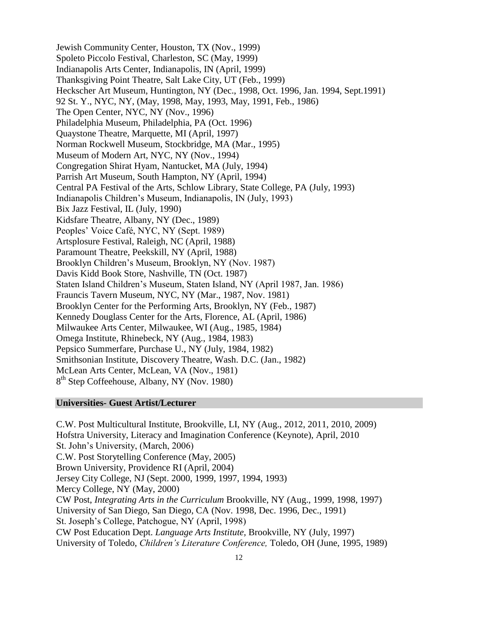Jewish Community Center, Houston, TX (Nov., 1999) Spoleto Piccolo Festival, Charleston, SC (May, 1999) Indianapolis Arts Center, Indianapolis, IN (April, 1999) Thanksgiving Point Theatre, Salt Lake City, UT (Feb., 1999) Heckscher Art Museum, Huntington, NY (Dec., 1998, Oct. 1996, Jan. 1994, Sept.1991) 92 St. Y., NYC, NY, (May, 1998, May, 1993, May, 1991, Feb., 1986) The Open Center, NYC, NY (Nov., 1996) Philadelphia Museum, Philadelphia, PA (Oct. 1996) Quaystone Theatre, Marquette, MI (April, 1997) Norman Rockwell Museum, Stockbridge, MA (Mar., 1995) Museum of Modern Art, NYC, NY (Nov., 1994) Congregation Shirat Hyam, Nantucket, MA (July, 1994) Parrish Art Museum, South Hampton, NY (April, 1994) Central PA Festival of the Arts, Schlow Library, State College, PA (July, 1993) Indianapolis Children's Museum, Indianapolis, IN (July, 1993) Bix Jazz Festival, IL (July, 1990) Kidsfare Theatre, Albany, NY (Dec., 1989) Peoples' Voice Café, NYC, NY (Sept. 1989) Artsplosure Festival, Raleigh, NC (April, 1988) Paramount Theatre, Peekskill, NY (April, 1988) Brooklyn Children's Museum, Brooklyn, NY (Nov. 1987) Davis Kidd Book Store, Nashville, TN (Oct. 1987) Staten Island Children's Museum, Staten Island, NY (April 1987, Jan. 1986) Frauncis Tavern Museum, NYC, NY (Mar., 1987, Nov. 1981) Brooklyn Center for the Performing Arts, Brooklyn, NY (Feb., 1987) Kennedy Douglass Center for the Arts, Florence, AL (April, 1986) Milwaukee Arts Center, Milwaukee, WI (Aug., 1985, 1984) Omega Institute, Rhinebeck, NY (Aug., 1984, 1983) Pepsico Summerfare, Purchase U., NY (July, 1984, 1982) Smithsonian Institute, Discovery Theatre, Wash. D.C. (Jan., 1982) McLean Arts Center, McLean, VA (Nov., 1981) 8<sup>th</sup> Step Coffeehouse, Albany, NY (Nov. 1980)

## **Universities- Guest Artist/Lecturer**

C.W. Post Multicultural Institute, Brookville, LI, NY (Aug., 2012, 2011, 2010, 2009) Hofstra University, Literacy and Imagination Conference (Keynote), April, 2010 St. John's University, (March, 2006) C.W. Post Storytelling Conference (May, 2005) Brown University, Providence RI (April, 2004) Jersey City College, NJ (Sept. 2000, 1999, 1997, 1994, 1993) Mercy College, NY (May, 2000) CW Post, *Integrating Arts in the Curriculum* Brookville, NY (Aug., 1999, 1998, 1997) University of San Diego, San Diego, CA (Nov. 1998, Dec. 1996, Dec., 1991) St. Joseph's College, Patchogue, NY (April, 1998) CW Post Education Dept. *Language Arts Institute,* Brookville, NY (July, 1997) University of Toledo, *Children's Literature Conference,* Toledo, OH (June, 1995, 1989)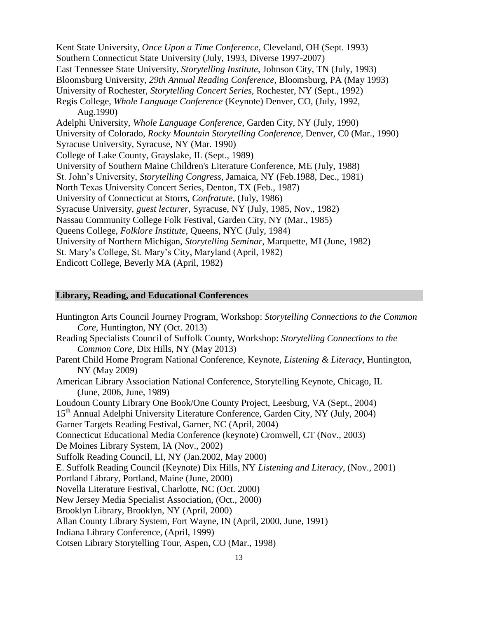Kent State University, *Once Upon a Time Conference,* Cleveland, OH (Sept. 1993) Southern Connecticut State University (July, 1993, Diverse 1997-2007) East Tennessee State University, *Storytelling Institute,* Johnson City, TN (July, 1993) Bloomsburg University, *29th Annual Reading Conference,* Bloomsburg, PA (May 1993) University of Rochester, *Storytelling Concert Series,* Rochester, NY (Sept., 1992) Regis College, *Whole Language Conference* (Keynote) Denver, CO, (July, 1992, Aug.1990) Adelphi University, *Whole Language Conference*, Garden City, NY (July, 1990) University of Colorado, *Rocky Mountain Storytelling Conference*, Denver, C0 (Mar., 1990) Syracuse University, Syracuse, NY (Mar. 1990) College of Lake County, Grayslake, IL (Sept., 1989) University of Southern Maine Children's Literature Conference, ME (July, 1988) St. John's University, *Storytelling Congress*, Jamaica, NY (Feb.1988, Dec., 1981) North Texas University Concert Series, Denton, TX (Feb., 1987) University of Connecticut at Storrs, *Confratute,* (July, 1986) Syracuse University, *guest lecturer*, Syracuse, NY (July, 1985, Nov., 1982) Nassau Community College Folk Festival, Garden City, NY (Mar., 1985) Queens College, *Folklore Institute,* Queens, NYC (July, 1984) University of Northern Michigan, *Storytelling Seminar*, Marquette, MI (June, 1982) St. Mary's College, St. Mary's City, Maryland (April, 1982) Endicott College, Beverly MA (April, 1982)

## **Library, Reading, and Educational Conferences**

Huntington Arts Council Journey Program*,* Workshop: *Storytelling Connections to the Common Core,* Huntington, NY (Oct. 2013) Reading Specialists Council of Suffolk County, Workshop: *Storytelling Connections to the Common Core,* Dix Hills, NY (May 2013) Parent Child Home Program National Conference, Keynote, *Listening & Literacy,* Huntington, NY (May 2009) American Library Association National Conference, Storytelling Keynote, Chicago, IL (June, 2006, June, 1989) Loudoun County Library One Book/One County Project, Leesburg, VA (Sept., 2004) 15<sup>th</sup> Annual Adelphi University Literature Conference, Garden City, NY (July, 2004) Garner Targets Reading Festival, Garner, NC (April, 2004) Connecticut Educational Media Conference (keynote) Cromwell, CT (Nov., 2003) De Moines Library System, IA (Nov., 2002) Suffolk Reading Council, LI, NY (Jan.2002, May 2000) E. Suffolk Reading Council (Keynote) Dix Hills, NY *Listening and Literacy*, (Nov., 2001) Portland Library, Portland, Maine (June, 2000) Novella Literature Festival, Charlotte, NC (Oct. 2000) New Jersey Media Specialist Association, (Oct., 2000) Brooklyn Library, Brooklyn, NY (April, 2000) Allan County Library System, Fort Wayne, IN (April, 2000, June, 1991) Indiana Library Conference, (April, 1999) Cotsen Library Storytelling Tour, Aspen, CO (Mar., 1998)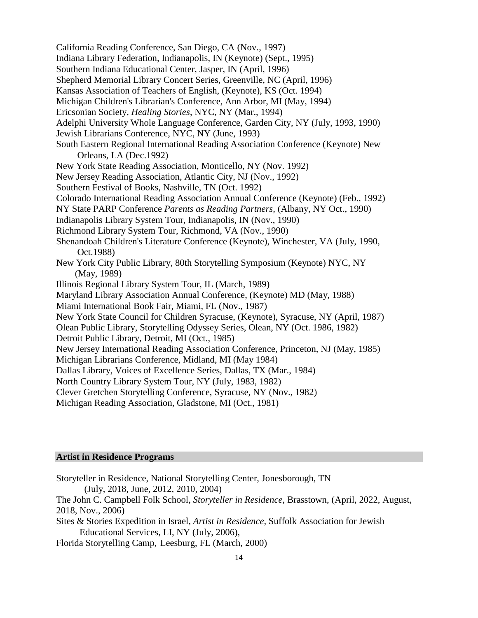California Reading Conference, San Diego, CA (Nov., 1997) Indiana Library Federation, Indianapolis, IN (Keynote) (Sept., 1995) Southern Indiana Educational Center, Jasper, IN (April, 1996) Shepherd Memorial Library Concert Series, Greenville, NC (April, 1996) Kansas Association of Teachers of English, (Keynote), KS (Oct. 1994) Michigan Children's Librarian's Conference, Ann Arbor, MI (May, 1994) Ericsonian Society, *Healing Stories*, NYC, NY (Mar., 1994) Adelphi University Whole Language Conference, Garden City, NY (July, 1993, 1990) Jewish Librarians Conference, NYC, NY (June, 1993) South Eastern Regional International Reading Association Conference (Keynote) New Orleans, LA (Dec.1992) New York State Reading Association, Monticello, NY (Nov. 1992) New Jersey Reading Association, Atlantic City, NJ (Nov., 1992) Southern Festival of Books, Nashville, TN (Oct. 1992) Colorado International Reading Association Annual Conference (Keynote) (Feb., 1992) NY State PARP Conference *Parents as Reading Partners,* (Albany, NY Oct., 1990) Indianapolis Library System Tour, Indianapolis, IN (Nov., 1990) Richmond Library System Tour, Richmond, VA (Nov., 1990) Shenandoah Children's Literature Conference (Keynote), Winchester, VA (July, 1990, Oct.1988) New York City Public Library, 80th Storytelling Symposium (Keynote) NYC, NY (May, 1989) Illinois Regional Library System Tour, IL (March, 1989) Maryland Library Association Annual Conference, (Keynote) MD (May, 1988) Miami International Book Fair, Miami, FL (Nov., 1987) New York State Council for Children Syracuse, (Keynote), Syracuse, NY (April, 1987) Olean Public Library, Storytelling Odyssey Series, Olean, NY (Oct. 1986, 1982) Detroit Public Library, Detroit, MI (Oct., 1985) New Jersey International Reading Association Conference, Princeton, NJ (May, 1985) Michigan Librarians Conference, Midland, MI (May 1984) Dallas Library, Voices of Excellence Series, Dallas, TX (Mar., 1984) North Country Library System Tour, NY (July, 1983, 1982) Clever Gretchen Storytelling Conference, Syracuse, NY (Nov., 1982) Michigan Reading Association, Gladstone, MI (Oct., 1981)

#### **Artist in Residence Programs**

Storyteller in Residence, National Storytelling Center, Jonesborough, TN (July, 2018, June, 2012, 2010, 2004) The John C. Campbell Folk School, *Storyteller in Residence*, Brasstown, (April, 2022, August, 2018, Nov., 2006) Sites & Stories Expedition in Israel, *Artist in Residence,* Suffolk Association for Jewish Educational Services, LI, NY (July, 2006), Florida Storytelling Camp, Leesburg, FL (March, 2000)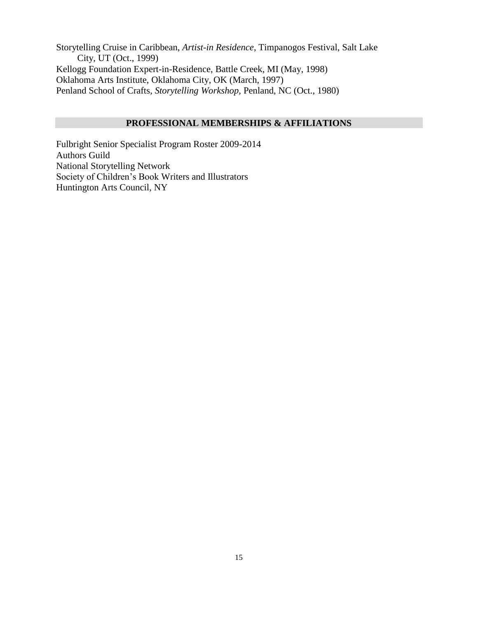Storytelling Cruise in Caribbean, *Artist-in Residence*, Timpanogos Festival, Salt Lake City, UT (Oct., 1999) Kellogg Foundation Expert-in-Residence, Battle Creek, MI (May, 1998) Oklahoma Arts Institute, Oklahoma City, OK (March, 1997) Penland School of Crafts, *Storytelling Workshop,* Penland, NC (Oct., 1980)

## **PROFESSIONAL MEMBERSHIPS & AFFILIATIONS**

Fulbright Senior Specialist Program Roster 2009-2014 Authors Guild National Storytelling Network Society of Children's Book Writers and Illustrators Huntington Arts Council, NY